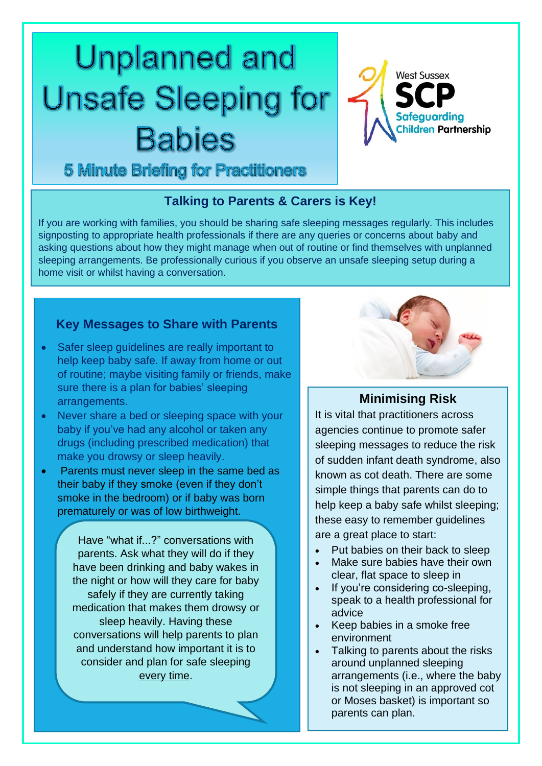# **Unplanned and Unsafe Sleeping for Babies**



**5 Minute Briefing for Practitioners** 

#### **Talking to Parents & Carers is Key!**

If you are working with families, you should be sharing safe sleeping messages regularly. This includes signposting to appropriate health professionals if there are any queries or concerns about baby and asking questions about how they might manage when out of routine or find themselves with unplanned sleeping arrangements. Be professionally curious if you observe an unsafe sleeping setup during a home visit or whilst having a conversation.

#### **Key Messages to Share with Parents**

- Safer sleep quidelines are really important to help keep baby safe. If away from home or out of routine; maybe visiting family or friends, make sure there is a plan for babies' sleeping arrangements.
- Never share a bed or sleeping space with your baby if you've had any alcohol or taken any drugs (including prescribed medication) that make you drowsy or sleep heavily.
- Parents must never sleep in the same bed as their baby if they smoke (even if they don't smoke in the bedroom) or if baby was born prematurely or was of low birthweight.

Have "what if...?" conversations with parents. Ask what they will do if they have been drinking and baby wakes in the night or how will they care for baby safely if they are currently taking medication that makes them drowsy or sleep heavily. Having these conversations will help parents to plan and understand how important it is to consider and plan for safe sleeping every time.



## **Minimising Risk**

It is vital that practitioners across agencies continue to promote safer sleeping messages to reduce the risk of sudden infant death syndrome, also known as cot death. There are some simple things that parents can do to help keep a baby safe whilst sleeping; these easy to remember guidelines are a great place to start:

- Put babies on their back to sleep
- Make sure babies have their own clear, flat space to sleep in
- If you're considering co-sleeping, speak to a health professional for advice
- Keep babies in a smoke free environment
- Talking to parents about the risks around unplanned sleeping arrangements (i.e., where the baby is not sleeping in an approved cot or Moses basket) is important so parents can plan.